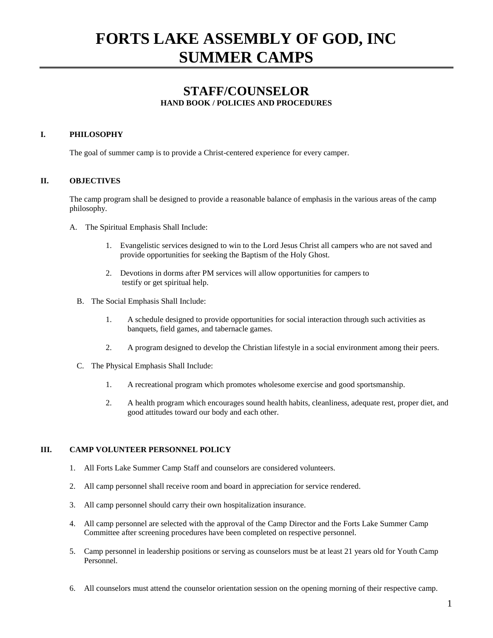# **FORTS LAKE ASSEMBLY OF GOD, INC SUMMER CAMPS**

## **STAFF/COUNSELOR HAND BOOK / POLICIES AND PROCEDURES**

## **I. PHILOSOPHY**

The goal of summer camp is to provide a Christ-centered experience for every camper.

## **II. OBJECTIVES**

The camp program shall be designed to provide a reasonable balance of emphasis in the various areas of the camp philosophy.

- A. The Spiritual Emphasis Shall Include:
	- 1. Evangelistic services designed to win to the Lord Jesus Christ all campers who are not saved and provide opportunities for seeking the Baptism of the Holy Ghost.
	- 2. Devotions in dorms after PM services will allow opportunities for campers to testify or get spiritual help.
	- B. The Social Emphasis Shall Include:
		- 1. A schedule designed to provide opportunities for social interaction through such activities as banquets, field games, and tabernacle games.
		- 2. A program designed to develop the Christian lifestyle in a social environment among their peers.
	- C. The Physical Emphasis Shall Include:
		- 1. A recreational program which promotes wholesome exercise and good sportsmanship.
		- 2. A health program which encourages sound health habits, cleanliness, adequate rest, proper diet, and good attitudes toward our body and each other.

## **III. CAMP VOLUNTEER PERSONNEL POLICY**

- 1. All Forts Lake Summer Camp Staff and counselors are considered volunteers.
- 2. All camp personnel shall receive room and board in appreciation for service rendered.
- 3. All camp personnel should carry their own hospitalization insurance.
- 4. All camp personnel are selected with the approval of the Camp Director and the Forts Lake Summer Camp Committee after screening procedures have been completed on respective personnel.
- 5. Camp personnel in leadership positions or serving as counselors must be at least 21 years old for Youth Camp Personnel.
- 6. All counselors must attend the counselor orientation session on the opening morning of their respective camp.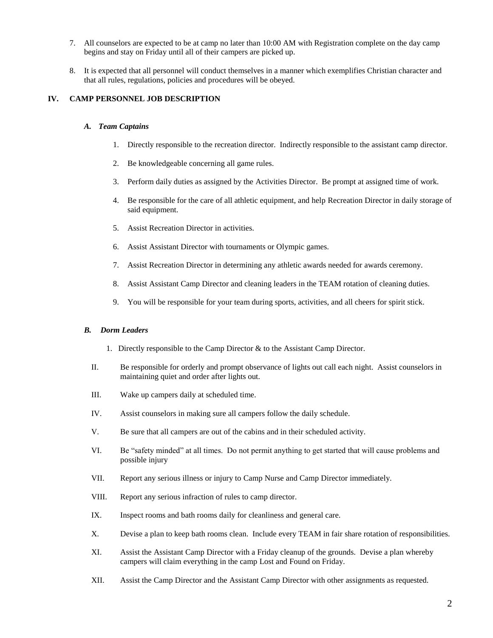- 7. All counselors are expected to be at camp no later than 10:00 AM with Registration complete on the day camp begins and stay on Friday until all of their campers are picked up.
- 8. It is expected that all personnel will conduct themselves in a manner which exemplifies Christian character and that all rules, regulations, policies and procedures will be obeyed.

## **IV. CAMP PERSONNEL JOB DESCRIPTION**

#### *A. Team Captains*

- 1. Directly responsible to the recreation director. Indirectly responsible to the assistant camp director.
- 2. Be knowledgeable concerning all game rules.
- 3. Perform daily duties as assigned by the Activities Director. Be prompt at assigned time of work.
- 4. Be responsible for the care of all athletic equipment, and help Recreation Director in daily storage of said equipment.
- 5. Assist Recreation Director in activities.
- 6. Assist Assistant Director with tournaments or Olympic games.
- 7. Assist Recreation Director in determining any athletic awards needed for awards ceremony.
- 8. Assist Assistant Camp Director and cleaning leaders in the TEAM rotation of cleaning duties.
- 9. You will be responsible for your team during sports, activities, and all cheers for spirit stick.

#### *B. Dorm Leaders*

- 1. Directly responsible to the Camp Director & to the Assistant Camp Director.
- II. Be responsible for orderly and prompt observance of lights out call each night. Assist counselors in maintaining quiet and order after lights out.
- III. Wake up campers daily at scheduled time.
- IV. Assist counselors in making sure all campers follow the daily schedule.
- V. Be sure that all campers are out of the cabins and in their scheduled activity.
- VI. Be "safety minded" at all times. Do not permit anything to get started that will cause problems and possible injury
- VII. Report any serious illness or injury to Camp Nurse and Camp Director immediately.
- VIII. Report any serious infraction of rules to camp director.
- IX. Inspect rooms and bath rooms daily for cleanliness and general care.
- X. Devise a plan to keep bath rooms clean. Include every TEAM in fair share rotation of responsibilities.
- XI. Assist the Assistant Camp Director with a Friday cleanup of the grounds. Devise a plan whereby campers will claim everything in the camp Lost and Found on Friday.
- XII. Assist the Camp Director and the Assistant Camp Director with other assignments as requested.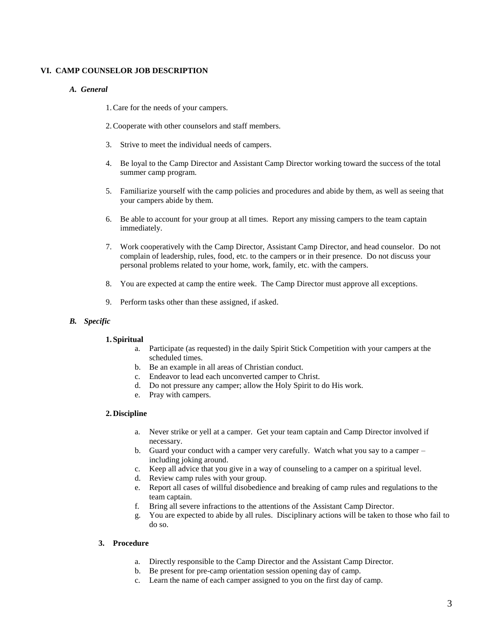## **VI. CAMP COUNSELOR JOB DESCRIPTION**

## *A. General*

1.Care for the needs of your campers.

- 2.Cooperate with other counselors and staff members.
- 3. Strive to meet the individual needs of campers.
- 4. Be loyal to the Camp Director and Assistant Camp Director working toward the success of the total summer camp program.
- 5. Familiarize yourself with the camp policies and procedures and abide by them, as well as seeing that your campers abide by them.
- 6. Be able to account for your group at all times. Report any missing campers to the team captain immediately.
- 7. Work cooperatively with the Camp Director, Assistant Camp Director, and head counselor. Do not complain of leadership, rules, food, etc. to the campers or in their presence. Do not discuss your personal problems related to your home, work, family, etc. with the campers.
- 8. You are expected at camp the entire week. The Camp Director must approve all exceptions.
- 9. Perform tasks other than these assigned, if asked.

## *B. Specific*

#### **1. Spiritual**

- a. Participate (as requested) in the daily Spirit Stick Competition with your campers at the scheduled times.
- b. Be an example in all areas of Christian conduct.
- c. Endeavor to lead each unconverted camper to Christ.
- d. Do not pressure any camper; allow the Holy Spirit to do His work.
- e. Pray with campers.

## **2. Discipline**

- a. Never strike or yell at a camper. Get your team captain and Camp Director involved if necessary.
- b. Guard your conduct with a camper very carefully. Watch what you say to a camper including joking around.
- c. Keep all advice that you give in a way of counseling to a camper on a spiritual level.
- d. Review camp rules with your group.
- e. Report all cases of willful disobedience and breaking of camp rules and regulations to the team captain.
- f. Bring all severe infractions to the attentions of the Assistant Camp Director.
- g. You are expected to abide by all rules. Disciplinary actions will be taken to those who fail to do so.

## **3. Procedure**

- a. Directly responsible to the Camp Director and the Assistant Camp Director.
- b. Be present for pre-camp orientation session opening day of camp.
- c. Learn the name of each camper assigned to you on the first day of camp.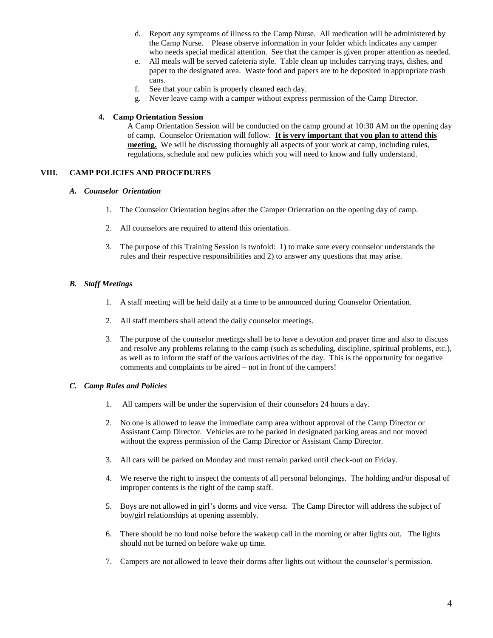- d. Report any symptoms of illness to the Camp Nurse. All medication will be administered by the Camp Nurse. Please observe information in your folder which indicates any camper who needs special medical attention. See that the camper is given proper attention as needed.
- e. All meals will be served cafeteria style. Table clean up includes carrying trays, dishes, and paper to the designated area. Waste food and papers are to be deposited in appropriate trash cans.
- f. See that your cabin is properly cleaned each day.
- g. Never leave camp with a camper without express permission of the Camp Director.

### **4. Camp Orientation Session**

A Camp Orientation Session will be conducted on the camp ground at 10:30 AM on the opening day of camp. Counselor Orientation will follow. **It is very important that you plan to attend this meeting.** We will be discussing thoroughly all aspects of your work at camp, including rules, regulations, schedule and new policies which you will need to know and fully understand.

## **VIII. CAMP POLICIES AND PROCEDURES**

#### *A. Counselor Orientation*

- 1. The Counselor Orientation begins after the Camper Orientation on the opening day of camp.
- 2. All counselors are required to attend this orientation.
- 3. The purpose of this Training Session is twofold: 1) to make sure every counselor understands the rules and their respective responsibilities and 2) to answer any questions that may arise.

## *B. Staff Meetings*

- 1. A staff meeting will be held daily at a time to be announced during Counselor Orientation.
- 2. All staff members shall attend the daily counselor meetings.
- 3. The purpose of the counselor meetings shall be to have a devotion and prayer time and also to discuss and resolve any problems relating to the camp (such as scheduling, discipline, spiritual problems, etc.), as well as to inform the staff of the various activities of the day. This is the opportunity for negative comments and complaints to be aired – not in front of the campers!

#### *C. Camp Rules and Policies*

- 1. All campers will be under the supervision of their counselors 24 hours a day.
- 2. No one is allowed to leave the immediate camp area without approval of the Camp Director or Assistant Camp Director. Vehicles are to be parked in designated parking areas and not moved without the express permission of the Camp Director or Assistant Camp Director.
- 3. All cars will be parked on Monday and must remain parked until check-out on Friday.
- 4. We reserve the right to inspect the contents of all personal belongings. The holding and/or disposal of improper contents is the right of the camp staff.
- 5. Boys are not allowed in girl's dorms and vice versa. The Camp Director will address the subject of boy/girl relationships at opening assembly.
- 6. There should be no loud noise before the wakeup call in the morning or after lights out. The lights should not be turned on before wake up time.
- 7. Campers are not allowed to leave their dorms after lights out without the counselor's permission.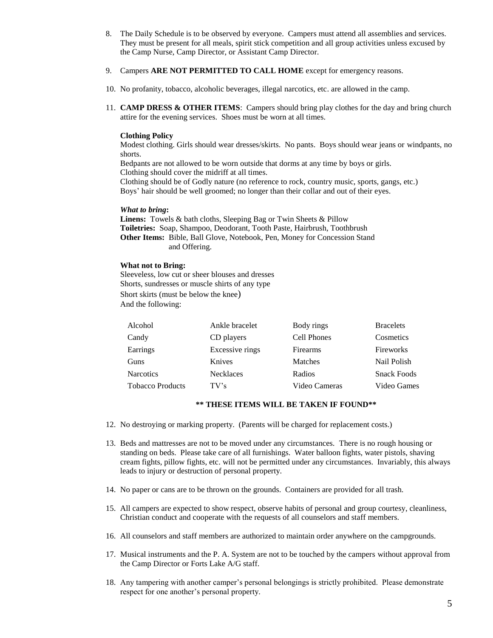- 8. The Daily Schedule is to be observed by everyone. Campers must attend all assemblies and services. They must be present for all meals, spirit stick competition and all group activities unless excused by the Camp Nurse, Camp Director, or Assistant Camp Director.
- 9. Campers **ARE NOT PERMITTED TO CALL HOME** except for emergency reasons.
- 10. No profanity, tobacco, alcoholic beverages, illegal narcotics, etc. are allowed in the camp.
- 11. **CAMP DRESS & OTHER ITEMS**: Campers should bring play clothes for the day and bring church attire for the evening services. Shoes must be worn at all times.

#### **Clothing Policy**

Modest clothing. Girls should wear dresses/skirts. No pants. Boys should wear jeans or windpants, no shorts.

Bedpants are not allowed to be worn outside that dorms at any time by boys or girls. Clothing should cover the midriff at all times.

Clothing should be of Godly nature (no reference to rock, country music, sports, gangs, etc.)

Boys' hair should be well groomed; no longer than their collar and out of their eyes.

#### *What to bring***:**

**Linens:** Towels & bath cloths, Sleeping Bag or Twin Sheets & Pillow **Toiletries:** Soap, Shampoo, Deodorant, Tooth Paste, Hairbrush, Toothbrush **Other Items:** Bible, Ball Glove, Notebook, Pen, Money for Concession Stand and Offering.

#### **What not to Bring:**

Sleeveless, low cut or sheer blouses and dresses Shorts, sundresses or muscle shirts of any type Short skirts (must be below the knee) And the following:

| Alcohol                 | Ankle bracelet   | Body rings    | <b>Bracelets</b>   |
|-------------------------|------------------|---------------|--------------------|
| Candy                   | CD players       | Cell Phones   | Cosmetics          |
| Earrings                | Excessive rings  | Firearms      | Fireworks          |
| Guns                    | Knives           | Matches       | Nail Polish        |
| <b>Narcotics</b>        | <b>Necklaces</b> | Radios        | <b>Snack Foods</b> |
| <b>Tobacco Products</b> | TV's             | Video Cameras | Video Games        |

## **\*\* THESE ITEMS WILL BE TAKEN IF FOUND\*\***

- 12. No destroying or marking property. (Parents will be charged for replacement costs.)
- 13. Beds and mattresses are not to be moved under any circumstances. There is no rough housing or standing on beds. Please take care of all furnishings. Water balloon fights, water pistols, shaving cream fights, pillow fights, etc. will not be permitted under any circumstances. Invariably, this always leads to injury or destruction of personal property.
- 14. No paper or cans are to be thrown on the grounds. Containers are provided for all trash.
- 15. All campers are expected to show respect, observe habits of personal and group courtesy, cleanliness, Christian conduct and cooperate with the requests of all counselors and staff members.
- 16. All counselors and staff members are authorized to maintain order anywhere on the campgrounds.
- 17. Musical instruments and the P. A. System are not to be touched by the campers without approval from the Camp Director or Forts Lake A/G staff.
- 18. Any tampering with another camper's personal belongings is strictly prohibited. Please demonstrate respect for one another's personal property.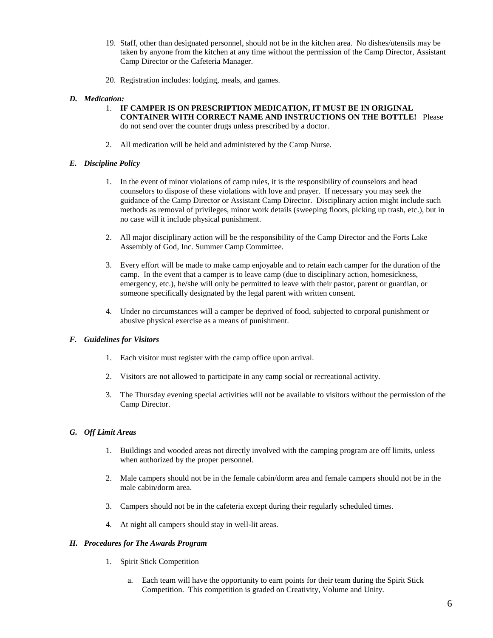- 19. Staff, other than designated personnel, should not be in the kitchen area. No dishes/utensils may be taken by anyone from the kitchen at any time without the permission of the Camp Director, Assistant Camp Director or the Cafeteria Manager.
- 20. Registration includes: lodging, meals, and games.

## *D. Medication:*

- 1. **IF CAMPER IS ON PRESCRIPTION MEDICATION, IT MUST BE IN ORIGINAL CONTAINER WITH CORRECT NAME AND INSTRUCTIONS ON THE BOTTLE!** Please do not send over the counter drugs unless prescribed by a doctor.
- 2. All medication will be held and administered by the Camp Nurse.

## *E. Discipline Policy*

- 1. In the event of minor violations of camp rules, it is the responsibility of counselors and head counselors to dispose of these violations with love and prayer. If necessary you may seek the guidance of the Camp Director or Assistant Camp Director. Disciplinary action might include such methods as removal of privileges, minor work details (sweeping floors, picking up trash, etc.), but in no case will it include physical punishment.
- 2. All major disciplinary action will be the responsibility of the Camp Director and the Forts Lake Assembly of God, Inc. Summer Camp Committee.
- 3. Every effort will be made to make camp enjoyable and to retain each camper for the duration of the camp. In the event that a camper is to leave camp (due to disciplinary action, homesickness, emergency, etc.), he/she will only be permitted to leave with their pastor, parent or guardian, or someone specifically designated by the legal parent with written consent.
- 4. Under no circumstances will a camper be deprived of food, subjected to corporal punishment or abusive physical exercise as a means of punishment.

## *F. Guidelines for Visitors*

- 1. Each visitor must register with the camp office upon arrival.
- 2. Visitors are not allowed to participate in any camp social or recreational activity.
- 3. The Thursday evening special activities will not be available to visitors without the permission of the Camp Director.

## *G. Off Limit Areas*

- 1. Buildings and wooded areas not directly involved with the camping program are off limits, unless when authorized by the proper personnel.
- 2. Male campers should not be in the female cabin/dorm area and female campers should not be in the male cabin/dorm area.
- 3. Campers should not be in the cafeteria except during their regularly scheduled times.
- 4. At night all campers should stay in well-lit areas.

## *H. Procedures for The Awards Program*

- 1. Spirit Stick Competition
	- a. Each team will have the opportunity to earn points for their team during the Spirit Stick Competition. This competition is graded on Creativity, Volume and Unity.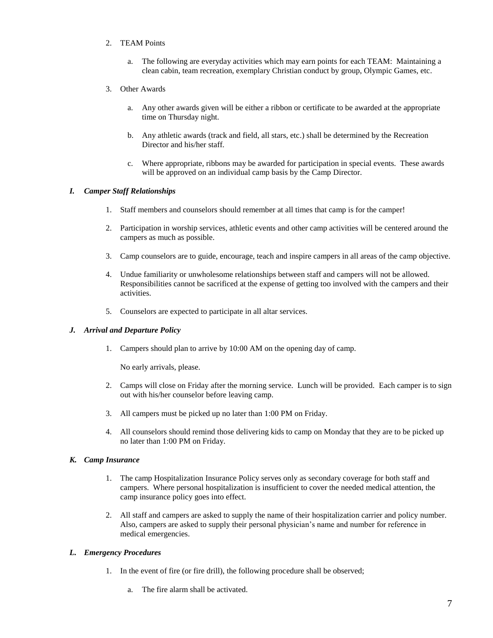## 2. TEAM Points

- a. The following are everyday activities which may earn points for each TEAM: Maintaining a clean cabin, team recreation, exemplary Christian conduct by group, Olympic Games, etc.
- 3. Other Awards
	- a. Any other awards given will be either a ribbon or certificate to be awarded at the appropriate time on Thursday night.
	- b. Any athletic awards (track and field, all stars, etc.) shall be determined by the Recreation Director and his/her staff.
	- c. Where appropriate, ribbons may be awarded for participation in special events. These awards will be approved on an individual camp basis by the Camp Director.

## *I. Camper Staff Relationships*

- 1. Staff members and counselors should remember at all times that camp is for the camper!
- 2. Participation in worship services, athletic events and other camp activities will be centered around the campers as much as possible.
- 3. Camp counselors are to guide, encourage, teach and inspire campers in all areas of the camp objective.
- 4. Undue familiarity or unwholesome relationships between staff and campers will not be allowed. Responsibilities cannot be sacrificed at the expense of getting too involved with the campers and their activities.
- 5. Counselors are expected to participate in all altar services.

## *J. Arrival and Departure Policy*

1. Campers should plan to arrive by 10:00 AM on the opening day of camp.

No early arrivals, please.

- 2. Camps will close on Friday after the morning service. Lunch will be provided. Each camper is to sign out with his/her counselor before leaving camp.
- 3. All campers must be picked up no later than 1:00 PM on Friday.
- 4. All counselors should remind those delivering kids to camp on Monday that they are to be picked up no later than 1:00 PM on Friday.

## *K. Camp Insurance*

- 1. The camp Hospitalization Insurance Policy serves only as secondary coverage for both staff and campers. Where personal hospitalization is insufficient to cover the needed medical attention, the camp insurance policy goes into effect.
- 2. All staff and campers are asked to supply the name of their hospitalization carrier and policy number. Also, campers are asked to supply their personal physician's name and number for reference in medical emergencies.

## *L. Emergency Procedures*

- 1. In the event of fire (or fire drill), the following procedure shall be observed;
	- a. The fire alarm shall be activated.